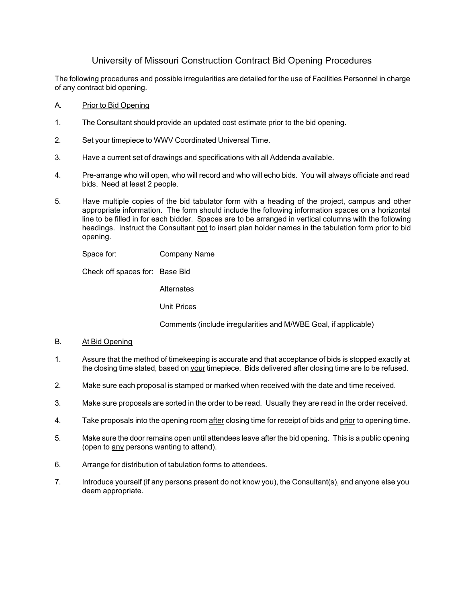# University of Missouri Construction Contract Bid Opening Procedures

The following procedures and possible irregularities are detailed for the use of Facilities Personnel in charge of any contract bid opening.

- A. Prior to Bid Opening
- 1. The Consultant should provide an updated cost estimate prior to the bid opening.
- 2. Set your timepiece to WWV Coordinated Universal Time.
- 3. Have a current set of drawings and specifications with all Addenda available.
- 4. Pre-arrange who will open, who will record and who will echo bids. You will always officiate and read bids. Need at least 2 people.
- 5. Have multiple copies of the bid tabulator form with a heading of the project, campus and other appropriate information. The form should include the following information spaces on a horizontal line to be filled in for each bidder. Spaces are to be arranged in vertical columns with the following headings. Instruct the Consultant not to insert plan holder names in the tabulation form prior to bid opening.

Space for: Company Name

Check off spaces for: Base Bid

**Alternates** 

Unit Prices

Comments (include irregularities and M/WBE Goal, if applicable)

## B. At Bid Opening

- 1. Assure that the method of timekeeping is accurate and that acceptance of bids is stopped exactly at the closing time stated, based on your timepiece. Bids delivered after closing time are to be refused.
- 2. Make sure each proposal is stamped or marked when received with the date and time received.
- 3. Make sure proposals are sorted in the order to be read. Usually they are read in the order received.
- 4. Take proposals into the opening room after closing time for receipt of bids and prior to opening time.
- 5. Make sure the door remains open until attendees leave after the bid opening. This is a public opening (open to any persons wanting to attend).
- 6. Arrange for distribution of tabulation forms to attendees.
- 7. Introduce yourself (if any persons present do not know you), the Consultant(s), and anyone else you deem appropriate.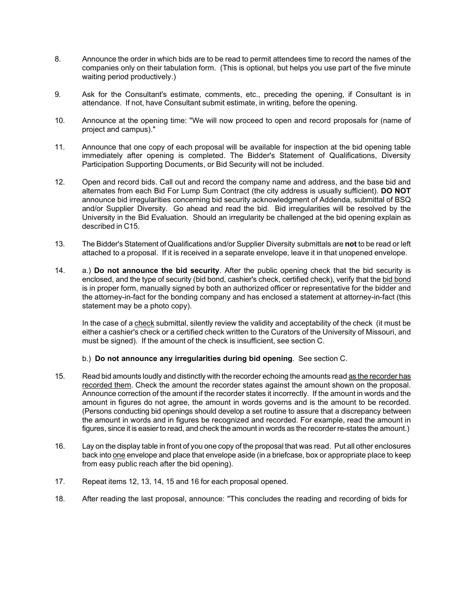- 8. Announce the order in which bids are to be read to permit attendees time to record the names of the companies only on their tabulation form. (This is optional, but helps you use part of the five minute waiting period productively.)
- 9. Ask for the Consultant's estimate, comments, etc., preceding the opening, if Consultant is in attendance. If not, have Consultant submit estimate, in writing, before the opening.
- 10. Announce at the opening time: "We will now proceed to open and record proposals for (name of project and campus)."
- 11. Announce that one copy of each proposal will be available for inspection at the bid opening table immediately after opening is completed. The Bidder's Statement of Qualifications, Diversity Participation Supporting Documents, or Bid Security will not be included.
- 12. Open and record bids. Call out and record the company name and address, and the base bid and alternates from each Bid For Lump Sum Contract (the city address is usually sufficient). **DO NOT** announce bid irregularities concerning bid security acknowledgment of Addenda, submittal of BSQ and/or Supplier Diversity. Go ahead and read the bid. Bid irregularities will be resolved by the University in the Bid Evaluation. Should an irregularity be challenged at the bid opening explain as described in C15.
- 13. The Bidder's Statement of Qualifications and/or Supplier Diversity submittals are **not** to be read or left attached to a proposal. If it is received in a separate envelope, leave it in that unopened envelope.
- 14. a.) **Do not announce the bid security**. After the public opening check that the bid security is enclosed, and the type of security (bid bond, cashier's check, certified check), verify that the bid bond is in proper form, manually signed by both an authorized officer or representative for the bidder and the attorney-in-fact for the bonding company and has enclosed a statement at attorney-in-fact (this statement may be a photo copy).

In the case of a check submittal, silently review the validity and acceptability of the check (it must be either a cashier's check or a certified check written to the Curators of the University of Missouri, and must be signed). If the amount of the check is insufficient, see section C.

# b.) **Do not announce any irregularities during bid opening**. See section C.

- 15. Read bid amounts loudly and distinctly with the recorder echoing the amounts read as the recorder has recorded them. Check the amount the recorder states against the amount shown on the proposal. Announce correction of the amount if the recorder states it incorrectly. If the amount in words and the amount in figures do not agree, the amount in words governs and is the amount to be recorded. (Persons conducting bid openings should develop a set routine to assure that a discrepancy between the amount in words and in figures be recognized and recorded. For example, read the amount in figures, since it is easier to read, and check the amount in words as the recorder re-states the amount.)
- 16. Lay on the display table in front of you one copy of the proposal that was read. Put all other enclosures back into one envelope and place that envelope aside (in a briefcase, box or appropriate place to keep from easy public reach after the bid opening).
- 17. Repeat items 12, 13, 14, 15 and 16 for each proposal opened.
- 18. After reading the last proposal, announce: "This concludes the reading and recording of bids for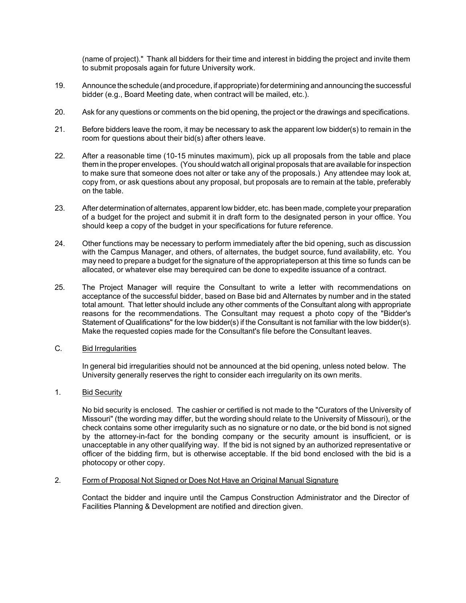(name of project)." Thank all bidders for their time and interest in bidding the project and invite them to submit proposals again for future University work.

- 19. Announce the schedule (and procedure, if appropriate) for determining and announcing the successful bidder (e.g., Board Meeting date, when contract will be mailed, etc.).
- 20. Ask for any questions or comments on the bid opening, the project or the drawings and specifications.
- 21. Before bidders leave the room, it may be necessary to ask the apparent low bidder(s) to remain in the room for questions about their bid(s) after others leave.
- 22. After a reasonable time (10-15 minutes maximum), pick up all proposals from the table and place them in the proper envelopes. (You should watch all original proposals that are available for inspection to make sure that someone does not alter or take any of the proposals.) Any attendee may look at, copy from, or ask questions about any proposal, but proposals are to remain at the table, preferably on the table.
- 23. After determination of alternates, apparent low bidder, etc. has been made, complete your preparation of a budget for the project and submit it in draft form to the designated person in your office. You should keep a copy of the budget in your specifications for future reference.
- 24. Other functions may be necessary to perform immediately after the bid opening, such as discussion with the Campus Manager, and others, of alternates, the budget source, fund availability, etc. You may need to prepare a budget for the signature of the appropriateperson at this time so funds can be allocated, or whatever else may berequired can be done to expedite issuance of a contract.
- 25. The Project Manager will require the Consultant to write a letter with recommendations on acceptance of the successful bidder, based on Base bid and Alternates by number and in the stated total amount. That letter should include any other comments of the Consultant along with appropriate reasons for the recommendations. The Consultant may request a photo copy of the "Bidder's Statement of Qualifications" for the low bidder(s) if the Consultant is not familiar with the low bidder(s). Make the requested copies made for the Consultant's file before the Consultant leaves.
- C. Bid Irregularities

In general bid irregularities should not be announced at the bid opening, unless noted below. The University generally reserves the right to consider each irregularity on its own merits.

1. Bid Security

No bid security is enclosed. The cashier or certified is not made to the "Curators of the University of Missouri" (the wording may differ, but the wording should relate to the University of Missouri), or the check contains some other irregularity such as no signature or no date, or the bid bond is not signed by the attorney-in-fact for the bonding company or the security amount is insufficient, or is unacceptable in any other qualifying way. If the bid is not signed by an authorized representative or officer of the bidding firm, but is otherwise acceptable. If the bid bond enclosed with the bid is a photocopy or other copy.

## 2. Form of Proposal Not Signed or Does Not Have an Original Manual Signature

Contact the bidder and inquire until the Campus Construction Administrator and the Director of Facilities Planning & Development are notified and direction given.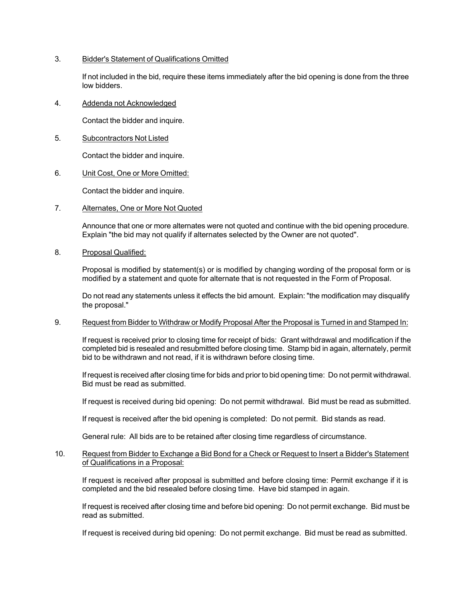## 3. Bidder's Statement of Qualifications Omitted

If not included in the bid, require these items immediately after the bid opening is done from the three low bidders.

4. Addenda not Acknowledged

Contact the bidder and inquire.

5. Subcontractors Not Listed

Contact the bidder and inquire.

6. Unit Cost, One or More Omitted:

Contact the bidder and inquire.

7. Alternates, One or More Not Quoted

Announce that one or more alternates were not quoted and continue with the bid opening procedure. Explain "the bid may not qualify if alternates selected by the Owner are not quoted".

8. Proposal Qualified:

Proposal is modified by statement(s) or is modified by changing wording of the proposal form or is modified by a statement and quote for alternate that is not requested in the Form of Proposal.

Do not read any statements unless it effects the bid amount. Explain: "the modification may disqualify the proposal."

9. Request from Bidder to Withdraw or Modify Proposal After the Proposal is Turned in and Stamped In:

If request is received prior to closing time for receipt of bids: Grant withdrawal and modification if the completed bid is resealed and resubmitted before closing time. Stamp bid in again, alternately, permit bid to be withdrawn and not read, if it is withdrawn before closing time.

If request is received after closing time for bids and prior to bid opening time: Do not permit withdrawal. Bid must be read as submitted.

If request is received during bid opening: Do not permit withdrawal. Bid must be read as submitted.

If request is received after the bid opening is completed: Do not permit. Bid stands as read.

General rule: All bids are to be retained after closing time regardless of circumstance.

10. Request from Bidder to Exchange a Bid Bond for a Check or Request to Insert a Bidder's Statement of Qualifications in a Proposal:

If request is received after proposal is submitted and before closing time: Permit exchange if it is completed and the bid resealed before closing time. Have bid stamped in again.

If request is received after closing time and before bid opening: Do not permit exchange. Bid must be read as submitted.

If request is received during bid opening: Do not permit exchange. Bid must be read as submitted.